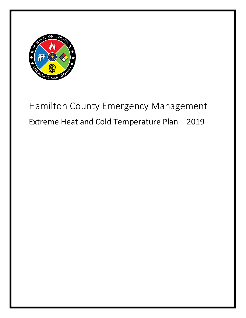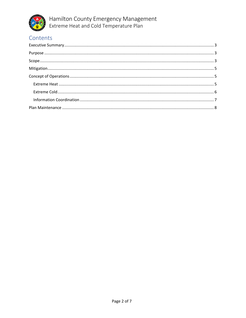

## Contents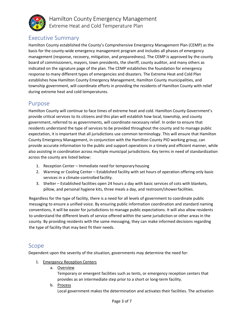

## <span id="page-2-0"></span>Executive Summary

Hamilton County established the County's Comprehensive Emergency Management Plan (CEMP) as the basis for the county-wide emergency management program and includes all phases of emergency management (response, recovery, mitigation, and preparedness). The CEMP is approved by the county board of commissioners, mayors, town presidents, the sheriff, county auditor, and many others as indicated on the signature page of the plan. The CEMP establishes the foundation for emergency response to many different types of emergencies and disasters. The Extreme Heat and Cold Plan establishes how Hamilton County Emergency Management, Hamilton County municipalities, and township government, will coordinate efforts in providing the residents of Hamilton County with relief during extreme heat and cold temperatures.

## <span id="page-2-1"></span>Purpose

Hamilton County will continue to face times of extreme heat and cold. Hamilton County Government's provide critical services to its citizens and this plan will establish how local, township, and county government, referred to as governments, will coordinate necessary relief. In order to ensure that residents understand the type of services to be provided throughout the county and to manage public expectation, it is important that all jurisdictions use common terminology. This will ensure that Hamilton County Emergency Management, in conjunction with the Hamilton County PIO working group, can provide accurate information to the public and support operations in a timely and efficient manner, while also assisting in coordination across multiple municipal jurisdictions. Key terms in need of standardization across the county are listed below:

- 1. Reception Center Immediate need for temporary housing
- 2. Warming or Cooling Center Established facility with set hours of operation offering only basic services in a climate-controlled facility.
- 3. Shelter Established facilities open 24 hours a day with basic services of cots with blankets, pillow, and personal hygiene kits, three meals a day, and restroom/showerfacilities.

Regardless for the type of facility, there is a need for all levels of government to coordinate public messaging to ensure a unified voice. By ensuring public information coordination and standard naming conventions, it will be easier for jurisdictions to manage public expectations. It will also allow residents to understand the different levels of service offered within the same jurisdiction or other areas in the county. By providing residents with the same messaging, they can make informed decisions regarding the type of facility that may best fit their needs.

### <span id="page-2-2"></span>Scope

Dependent upon the severity of the situation, governments may determine the need for:

- 1. Emergency Reception Centers
	- a. Overview

Temporary or emergent facilities such as tents, or emergency reception centers that provides as an intermediate step prior to a short or long-term facility.

b. Process Local government makes the determination and activates their facilities. The activation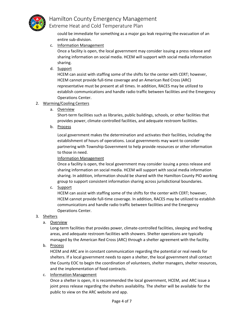

could be immediate for something as a major gas leak requiring the evacuation of an entire sub-division.

c. Information Management

Once a facility is open, the local government may consider issuing a press release and sharing information on social media. HCEM will support with social media information sharing.

d. Support

HCEM can assist with staffing some of the shifts for the center with CERT; however, HCEM cannot provide full-time coverage and an American Red Cross (ARC) representative must be present at all times. In addition, RACES may be utilized to establish communications and handle radio traffic between facilities and the Emergency Operations Center.

#### 2. Warming/Cooling Centers

a. Overview

Short-term facilities such as libraries, public buildings, schools, or other facilities that provides power, climate-controlled facilities, and adequate restroom facilities.

b. Process

Local government makes the determination and activates their facilities, including the establishment of hours of operations. Local governments may want to consider partnering with Township Government to help provide resources or other information to those in need.

Information Management

Once a facility is open, the local government may consider issuing a press release and sharing information on social media. HCEM will support with social media information sharing. In addition, information should be shared with the Hamilton County PIO working group to support consistent information sharing across jurisdictional boundaries.

c. Support

HCEM can assist with staffing some of the shifts for the center with CERT; however, HCEM cannot provide full-time coverage. In addition, RACES may be utilized to establish communications and handle radio traffic between facilities and the Emergency Operations Center.

- 3. Shelters
	- a. Overview

Long-term facilities that provides power, climate-controlled facilities, sleeping and feeding areas, and adequate restroom facilities with showers. Shelter operations are typically managed by the American Red Cross (ARC) through a shelter agreement with the facility.

b. Process

HCEM and ARC are in constant communication regarding the potential or real needs for shelters. If a local government needs to open a shelter, the local government shall contact the County EOC to begin the coordination of volunteers, shelter managers, shelter resources, and the implementation of food contracts.

c. Information Management

Once a shelter is open, it is recommended the local government, HCEM, and ARC issue a joint press release regarding the shelters availability. The shelter will be available for the public to view on the ARC website and app.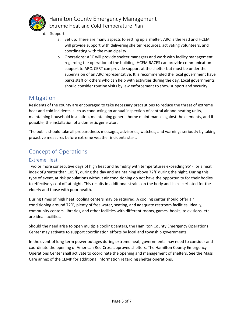

- d. Support
	- a. Set up: There are many aspects to setting up a shelter. ARC is the lead and HCEM will provide support with delivering shelter resources, activating volunteers, and coordinating with the municipality.
	- b. Operations: ARC will provide shelter managers and work with facility management regarding the operation of the building. HCEM RACES can provide communication support to ARC. CERT can provide support at the shelter but must be under the supervision of an ARC representative. It is recommended the local government have parks staff or others who can help with activities during the day. Local governments should consider routine visits by law enforcement to show support and security.

## <span id="page-4-0"></span>Mitigation

Residents of the county are encouraged to take necessary precautions to reduce the threat of extreme heat and cold incidents, such as conducting an annual inspection of central air and heating units, maintaining household insulation, maintaining general home maintenance against the elements, and if possible, the installation of a domestic generator.

The public should take all preparedness messages, advisories, watches, and warnings seriously by taking proactive measures before extreme weather incidents start.

## <span id="page-4-1"></span>Concept of Operations

#### <span id="page-4-2"></span>Extreme Heat

Two or more consecutive days of high heat and humidity with temperatures exceeding 95°F, or a heat index of greater than 105°F, during the day and maintaining above 72°F during the night. During this type of event, at risk populations without air conditioning do not have the opportunity for their bodies to effectively cool off at night. This results in additional strains on the body and is exacerbated for the elderly and those with poor health.

During times of high heat, cooling centers may be required. A cooling center should offer air conditioning around 72°F, plenty of free water, seating, and adequate restroom facilities. Ideally, community centers, libraries, and other facilities with different rooms, games, books, televisions, etc. are ideal facilities.

Should the need arise to open multiple cooling centers, the Hamilton County Emergency Operations Center may activate to support coordination efforts by local and township governments.

In the event of long-term power outages during extreme heat, governments may need to consider and coordinate the opening of American Red Cross approved shelters. The Hamilton County Emergency Operations Center shall activate to coordinate the opening and management of shelters. See the Mass Care annex of the CEMP for additional information regarding shelter operations.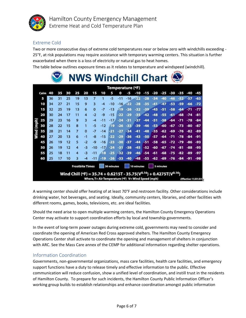

#### <span id="page-5-0"></span>Extreme Cold

Two or more consecutive days of extreme cold temperatures near or below zero with windchills exceeding - 25°F, at risk populations may require assistance with temporary warming centers. This situation is further exacerbated when there is a loss of electricity or natural gas to heat homes.

The table below outlines exposure times as it relates to temperature and windspeed (windchill).

|            |      |    | nose |    |                        |          |          | <b>NWS Windchill Chart</b>                                                                                                            |                  |       |       |            |       |       |           |       |       |                           |       |
|------------|------|----|------|----|------------------------|----------|----------|---------------------------------------------------------------------------------------------------------------------------------------|------------------|-------|-------|------------|-------|-------|-----------|-------|-------|---------------------------|-------|
|            |      |    |      |    |                        |          |          |                                                                                                                                       | Temperature (°F) |       |       |            |       |       |           |       |       |                           |       |
|            | Calm | 40 | 35   | 30 | 25                     | 20       | 15       | 10                                                                                                                                    |                  | ŋ     |       | -10        | -15   | -20   | -25       | -30   | -35   | -40                       | -45   |
|            | 5    | 36 | 31   | 25 | 19                     | 13       | 7        | 1                                                                                                                                     | $-5$             | $-11$ | $-16$ | - 22       | $-28$ | $-34$ | $-40$     | -46   | $-52$ | $-57$                     | $-63$ |
|            | 10   | 34 | 27   | 21 | 15                     | 9        | з        | $-4$                                                                                                                                  | $-10$            | $-16$ | -22   | $-28$      | -35   | $-41$ | $-47$     | $-53$ | -59   | -66                       | $-72$ |
|            | 15   | 32 | 25   | 19 | 13                     | 6        | $\bf{0}$ | $-7$                                                                                                                                  | $-13$            | -19   | $-26$ | -32        | -39   | $-45$ | -51       | $-58$ | $-64$ | $-71$                     | $-77$ |
|            | 20   | 30 | 24   | 17 | 11                     | 4        | $-2$     | $-9$                                                                                                                                  | $-15$            | -22   | -29   | $-35$      | $-42$ | $-48$ | $-55$     | $-61$ | $-68$ | $-74$                     | -81   |
|            | 25   | 29 | 23   | 16 | 9                      | 3        | $-4$     | $-11$                                                                                                                                 | $-17$            | $-24$ | -31   | -37        | -44   | $-51$ | $-58$     | $-64$ | $-71$ | -78                       | $-84$ |
| Wind (mph) | 30   | 28 | 22   | 15 | 8                      | 1        | -5       | $-12$                                                                                                                                 | -19              | $-26$ | $-33$ | $-39$      | -46   | -53   | $-60$     | $-67$ | $-73$ | -80                       | -87   |
|            | 35   | 28 | 21   | 14 | $\overline{z}$         | $\bf{0}$ | -7       | $-14$                                                                                                                                 | -21              | -27   | -34   | -41        | $-48$ | -55   | $-62$     | -69   | $-76$ | -82                       | $-89$ |
|            | 40   | 27 | 20   | 13 | 6                      | -1       | -8       | $-15$                                                                                                                                 | $-22$            | $-29$ | $-36$ | $-43$      | $-50$ | -57   | -64       | -71   | -78   | -84                       | -91   |
|            | 45   | 26 | 19   | 12 | 5                      | $-2$     | -9       | $-16$                                                                                                                                 | $-23$            | $-30$ | $-37$ | $-44$      | $-51$ | -58   | $-65$     | $-72$ | $-79$ | -86                       | $-93$ |
|            | 50   | 26 | 19   | 12 | 4                      | -3       | $-10$    | $-17$                                                                                                                                 | $-24$            | $-31$ | $-38$ | $-45$      | $-52$ | -60   | $-67$     | -74   | -81   | -88                       | -95   |
|            | 55   | 25 | 18   | 11 | 4                      | -3       | $-11$    | -18                                                                                                                                   | $-25$            | $-32$ | -39   | $-46$      | $-54$ | $-61$ | -68       | $-75$ | -82   | -89                       | -97   |
|            | 60   | 25 | 17   | 10 | 3                      | -4       | -11      | -19                                                                                                                                   | $-26$            | -33   | $-40$ | $-48.$     | -55   | $-62$ | $-69$     | $-76$ | $-84$ | -91                       | $-98$ |
|            |      |    |      |    | <b>Frostbite Times</b> |          |          | Wind Chill (°F) = 35.74 + 0.6215T - 35.75( $V^{0.16}$ ) + 0.4275T( $V^{0.16}$ )<br>Where, T= Air Temperature (°F) V= Wind Speed (mph) | 30 minutes       |       |       | 10 minutes |       |       | 5 minutes |       |       | <b>Effective 11/01/01</b> |       |

A warming center should offer heating of at least 70°F and restroom facility. Other considerations include drinking water, hot beverages, and seating. Ideally, community centers, libraries, and other facilities with different rooms, games, books, televisions, etc. are ideal facilities.

Should the need arise to open multiple warming centers, the Hamilton County Emergency Operations Center may activate to support coordination efforts by local and township governments.

In the event of long-term power outages during extreme cold, governments may need to consider and coordinate the opening of American Red Cross approved shelters. The Hamilton County Emergency Operations Center shall activate to coordinate the opening and management of shelters in conjunction with ARC. See the Mass Care annex of the CEMP for additional information regarding shelter operations.

#### <span id="page-5-1"></span>Information Coordination

Governments, non-governmental organizations, mass care facilities, health care facilities, and emergency support functions have a duty to release timely and effective information to the public. Effective communication will reduce confusion, show a unified level of coordination, and instill trust in the residents of Hamilton County. To prepare for such incidents, the Hamilton County Public Information Officer's working group builds to establish relationships and enhance coordination amongst public information